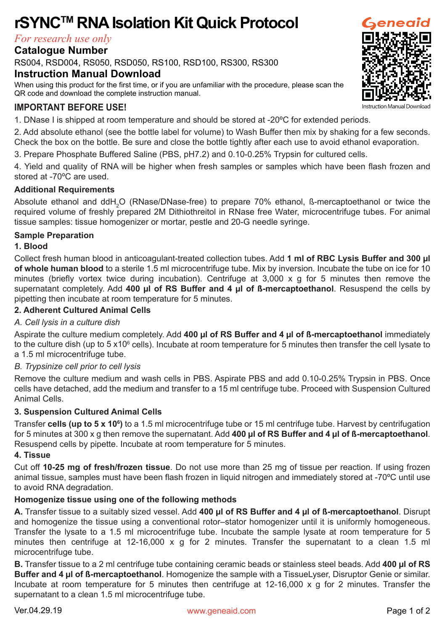# **rSYNCTM RNA Isolation Kit Quick Protocol**

*For research use only*

## **Catalogue Number**

RS004, RSD004, RS050, RSD050, RS100, RSD100, RS300, RS300

## **Instruction Manual Download**

When using this product for the first time, or if you are unfamiliar with the procedure, please scan the QR code and download the complete instruction manual.

# **IMPORTANT BEFORE USE!**

1. DNase I is shipped at room temperature and should be stored at -20ºC for extended periods.

2. Add absolute ethanol (see the bottle label for volume) to Wash Buffer then mix by shaking for a few seconds. Check the box on the bottle. Be sure and close the bottle tightly after each use to avoid ethanol evaporation.

3. Prepare Phosphate Buffered Saline (PBS, pH7.2) and 0.10-0.25% Trypsin for cultured cells.

4. Yield and quality of RNA will be higher when fresh samples or samples which have been flash frozen and stored at -70ºC are used.

#### **Additional Requirements**

Absolute ethanol and ddH<sub>2</sub>O (RNase/DNase-free) to prepare 70% ethanol, ß-mercaptoethanol or twice the required volume of freshly prepared 2M Dithiothreitol in RNase free Water, microcentrifuge tubes. For animal tissue samples: tissue homogenizer or mortar, pestle and 20-G needle syringe.

#### **Sample Preparation**

#### **1. Blood**

Collect fresh human blood in anticoagulant-treated collection tubes. Add **1 ml of RBC Lysis Buffer and 300 µl of whole human blood** to a sterile 1.5 ml microcentrifuge tube. Mix by inversion. Incubate the tube on ice for 10 minutes (briefly vortex twice during incubation). Centrifuge at 3,000 x g for 5 minutes then remove the supernatant completely. Add **400 µl of RS Buffer and 4 µl of ß-mercaptoethanol**. Resuspend the cells by pipetting then incubate at room temperature for 5 minutes.

#### **2. Adherent Cultured Animal Cells**

#### *A. Cell lysis in a culture dish*

Aspirate the culture medium completely. Add **400 µl of RS Buffer and 4 µl of ß-mercaptoethanol** immediately to the culture dish (up to 5 x10<sup>6</sup> cells). Incubate at room temperature for 5 minutes then transfer the cell lysate to a 1.5 ml microcentrifuge tube.

#### *B. Trypsinize cell prior to cell lysis*

Remove the culture medium and wash cells in PBS. Aspirate PBS and add 0.10-0.25% Trypsin in PBS. Once cells have detached, add the medium and transfer to a 15 ml centrifuge tube. Proceed with Suspension Cultured Animal Cells.

#### **3. Suspension Cultured Animal Cells**

Transfer **cells (up to 5 x 106 )** to a 1.5 ml microcentrifuge tube or 15 ml centrifuge tube. Harvest by centrifugation for 5 minutes at 300 x g then remove the supernatant. Add **400 µl of RS Buffer and 4 µl of ß-mercaptoethanol**. Resuspend cells by pipette. Incubate at room temperature for 5 minutes.

#### **4. Tissue**

Cut off **10-25 mg of fresh/frozen tissue**. Do not use more than 25 mg of tissue per reaction. If using frozen animal tissue, samples must have been flash frozen in liquid nitrogen and immediately stored at -70ºC until use to avoid RNA degradation.

#### **Homogenize tissue using one of the following methods**

**A.** Transfer tissue to a suitably sized vessel. Add **400 µl of RS Buffer and 4 µl of ß-mercaptoethanol**. Disrupt and homogenize the tissue using a conventional rotor–stator homogenizer until it is uniformly homogeneous. Transfer the lysate to a 1.5 ml microcentrifuge tube. Incubate the sample lysate at room temperature for 5 minutes then centrifuge at 12-16,000 x g for 2 minutes. Transfer the supernatant to a clean 1.5 ml microcentrifuge tube.

**B.** Transfer tissue to a 2 ml centrifuge tube containing ceramic beads or stainless steel beads. Add **400 µl of RS Buffer and 4 µl of ß-mercaptoethanol**. Homogenize the sample with a TissueLyser, Disruptor Genie or similar. Incubate at room temperature for 5 minutes then centrifuge at 12-16,000 x g for 2 minutes. Transfer the supernatant to a clean 1.5 ml microcentrifuge tube.